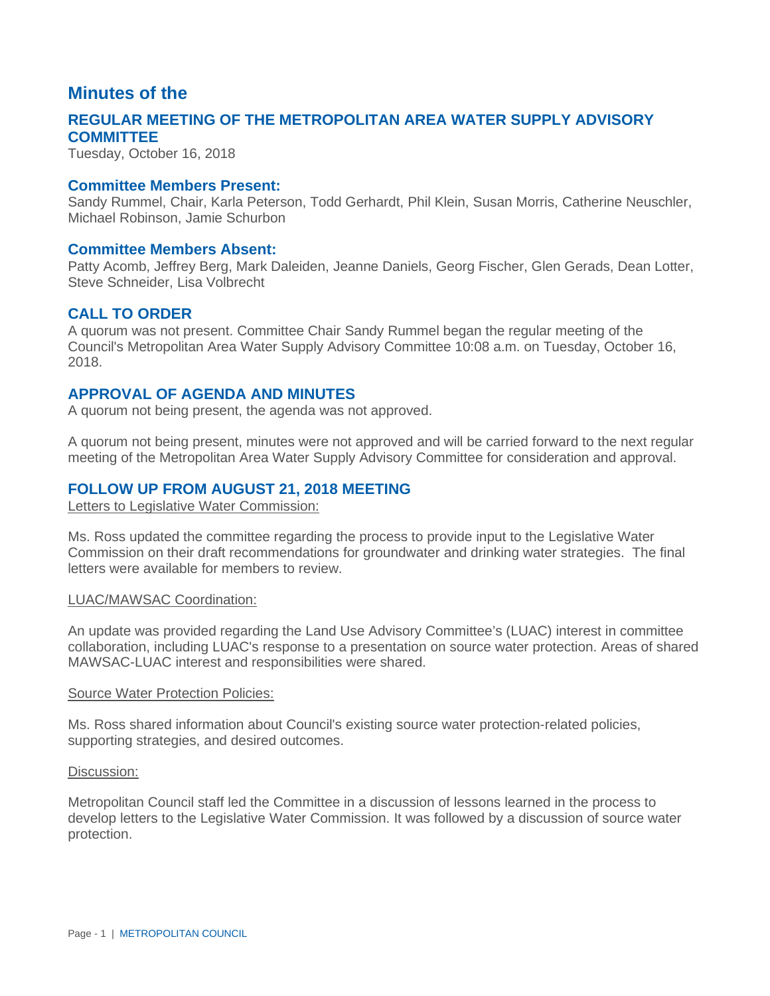# **Minutes of the**

# **REGULAR MEETING OF THE METROPOLITAN AREA WATER SUPPLY ADVISORY COMMITTEE**

Tuesday, October 16, 2018

## **Committee Members Present:**

Sandy Rummel, Chair, Karla Peterson, Todd Gerhardt, Phil Klein, Susan Morris, Catherine Neuschler, Michael Robinson, Jamie Schurbon

### **Committee Members Absent:**

Patty Acomb, Jeffrey Berg, Mark Daleiden, Jeanne Daniels, Georg Fischer, Glen Gerads, Dean Lotter, Steve Schneider, Lisa Volbrecht

# **CALL TO ORDER**

A quorum was not present. Committee Chair Sandy Rummel began the regular meeting of the Council's Metropolitan Area Water Supply Advisory Committee 10:08 a.m. on Tuesday, October 16, 2018.

## **APPROVAL OF AGENDA AND MINUTES**

A quorum not being present, the agenda was not approved.

A quorum not being present, minutes were not approved and will be carried forward to the next regular meeting of the Metropolitan Area Water Supply Advisory Committee for consideration and approval.

## **FOLLOW UP FROM AUGUST 21, 2018 MEETING**

Letters to Legislative Water Commission:

Ms. Ross updated the committee regarding the process to provide input to the Legislative Water Commission on their draft recommendations for groundwater and drinking water strategies. The final letters were available for members to review.

### LUAC/MAWSAC Coordination:

An update was provided regarding the Land Use Advisory Committee's (LUAC) interest in committee collaboration, including LUAC's response to a presentation on source water protection. Areas of shared MAWSAC-LUAC interest and responsibilities were shared.

#### Source Water Protection Policies:

Ms. Ross shared information about Council's existing source water protection-related policies, supporting strategies, and desired outcomes.

### Discussion:

Metropolitan Council staff led the Committee in a discussion of lessons learned in the process to develop letters to the Legislative Water Commission. It was followed by a discussion of source water protection.